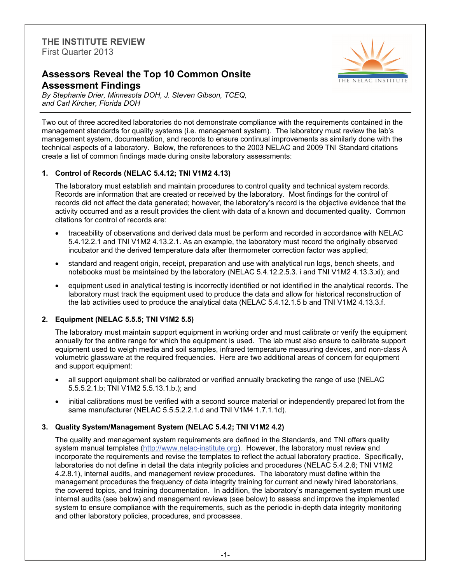### **THE INSTITUTE REVIEW**  First Quarter 2013

**Assessors Reveal the Top 10 Common Onsite Assessment Findings**



*By Stephanie Drier, Minnesota DOH, J. Steven Gibson, TCEQ, and Carl Kircher, Florida DOH* 

Two out of three accredited laboratories do not demonstrate compliance with the requirements contained in the management standards for quality systems (i.e. management system). The laboratory must review the lab's management system, documentation, and records to ensure continual improvements as similarly done with the technical aspects of a laboratory. Below, the references to the 2003 NELAC and 2009 TNI Standard citations create a list of common findings made during onsite laboratory assessments:

#### **1. Control of Records (NELAC 5.4.12; TNI V1M2 4.13)**

The laboratory must establish and maintain procedures to control quality and technical system records. Records are information that are created or received by the laboratory. Most findings for the control of records did not affect the data generated; however, the laboratory's record is the objective evidence that the activity occurred and as a result provides the client with data of a known and documented quality. Common citations for control of records are:

- traceability of observations and derived data must be perform and recorded in accordance with NELAC 5.4.12.2.1 and TNI V1M2 4.13.2.1. As an example, the laboratory must record the originally observed incubator and the derived temperature data after thermometer correction factor was applied;
- standard and reagent origin, receipt, preparation and use with analytical run logs, bench sheets, and notebooks must be maintained by the laboratory (NELAC 5.4.12.2.5.3. i and TNI V1M2 4.13.3.xi); and
- equipment used in analytical testing is incorrectly identified or not identified in the analytical records. The laboratory must track the equipment used to produce the data and allow for historical reconstruction of the lab activities used to produce the analytical data (NELAC 5.4.12.1.5 b and TNI V1M2 4.13.3.f.

### **2. Equipment (NELAC 5.5.5; TNI V1M2 5.5)**

The laboratory must maintain support equipment in working order and must calibrate or verify the equipment annually for the entire range for which the equipment is used. The lab must also ensure to calibrate support equipment used to weigh media and soil samples, infrared temperature measuring devices, and non-class A volumetric glassware at the required frequencies. Here are two additional areas of concern for equipment and support equipment:

- all support equipment shall be calibrated or verified annually bracketing the range of use (NELAC 5.5.5.2.1.b; TNI V1M2 5.5.13.1.b.); and
- initial calibrations must be verified with a second source material or independently prepared lot from the same manufacturer (NELAC 5.5.5.2.2.1.d and TNI V1M4 1.7.1.1d).

### **3. Quality System/Management System (NELAC 5.4.2; TNI V1M2 4.2)**

The quality and management system requirements are defined in the Standards, and TNI offers quality system manual templates (<http://www.nelac-institute.org>). However, the laboratory must review and incorporate the requirements and revise the templates to reflect the actual laboratory practice. Specifically, laboratories do not define in detail the data integrity policies and procedures (NELAC 5.4.2.6; TNI V1M2 4.2.8.1), internal audits, and management review procedures. The laboratory must define within the management procedures the frequency of data integrity training for current and newly hired laboratorians, the covered topics, and training documentation. In addition, the laboratory's management system must use internal audits (see below) and management reviews (see below) to assess and improve the implemented system to ensure compliance with the requirements, such as the periodic in-depth data integrity monitoring and other laboratory policies, procedures, and processes.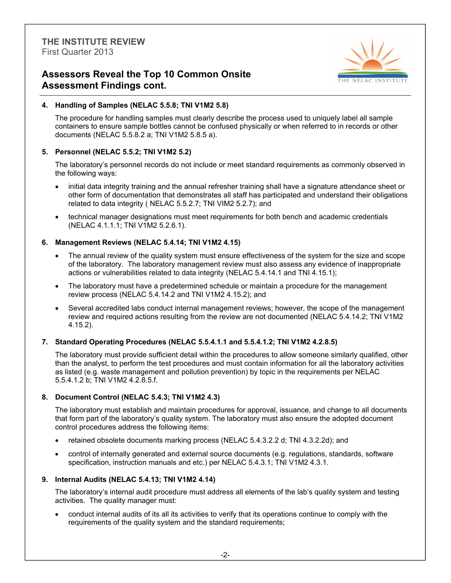

## **Assessors Reveal the Top 10 Common Onsite Assessment Findings cont.**

#### **4. Handling of Samples (NELAC 5.5.8; TNI V1M2 5.8)**

The procedure for handling samples must clearly describe the process used to uniquely label all sample containers to ensure sample bottles cannot be confused physically or when referred to in records or other documents (NELAC 5.5.8.2 a; TNI V1M2 5.8.5 a).

### **5. Personnel (NELAC 5.5.2; TNI V1M2 5.2)**

The laboratory's personnel records do not include or meet standard requirements as commonly observed in the following ways:

- initial data integrity training and the annual refresher training shall have a signature attendance sheet or other form of documentation that demonstrates all staff has participated and understand their obligations related to data integrity ( NELAC 5.5.2.7; TNI VIM2 5.2.7); and
- technical manager designations must meet requirements for both bench and academic credentials (NELAC 4.1.1.1; TNI V1M2 5.2.6.1).

### **6. Management Reviews (NELAC 5.4.14; TNI V1M2 4.15)**

- The annual review of the quality system must ensure effectiveness of the system for the size and scope of the laboratory. The laboratory management review must also assess any evidence of inappropriate actions or vulnerabilities related to data integrity (NELAC 5.4.14.1 and TNI 4.15.1);
- The laboratory must have a predetermined schedule or maintain a procedure for the management review process (NELAC 5.4.14.2 and TNI V1M2 4.15.2); and
- Several accredited labs conduct internal management reviews; however, the scope of the management review and required actions resulting from the review are not documented (NELAC 5.4.14.2; TNI V1M2 4.15.2).

### **7. Standard Operating Procedures (NELAC 5.5.4.1.1 and 5.5.4.1.2; TNI V1M2 4.2.8.5)**

The laboratory must provide sufficient detail within the procedures to allow someone similarly qualified, other than the analyst, to perform the test procedures and must contain information for all the laboratory activities as listed (e.g. waste management and pollution prevention) by topic in the requirements per NELAC 5.5.4.1.2 b; TNI V1M2 4.2.8.5.f.

### **8. Document Control (NELAC 5.4.3; TNI V1M2 4.3)**

The laboratory must establish and maintain procedures for approval, issuance, and change to all documents that form part of the laboratory's quality system. The laboratory must also ensure the adopted document control procedures address the following items:

- retained obsolete documents marking process (NELAC 5.4.3.2.2 d; TNI 4.3.2.2d); and
- control of internally generated and external source documents (e.g. regulations, standards, software specification, instruction manuals and etc.) per NELAC 5.4.3.1; TNI V1M2 4.3.1.

### **9. Internal Audits (NELAC 5.4.13; TNI V1M2 4.14)**

The laboratory's internal audit procedure must address all elements of the lab's quality system and testing activities. The quality manager must:

 conduct internal audits of its all its activities to verify that its operations continue to comply with the requirements of the quality system and the standard requirements;